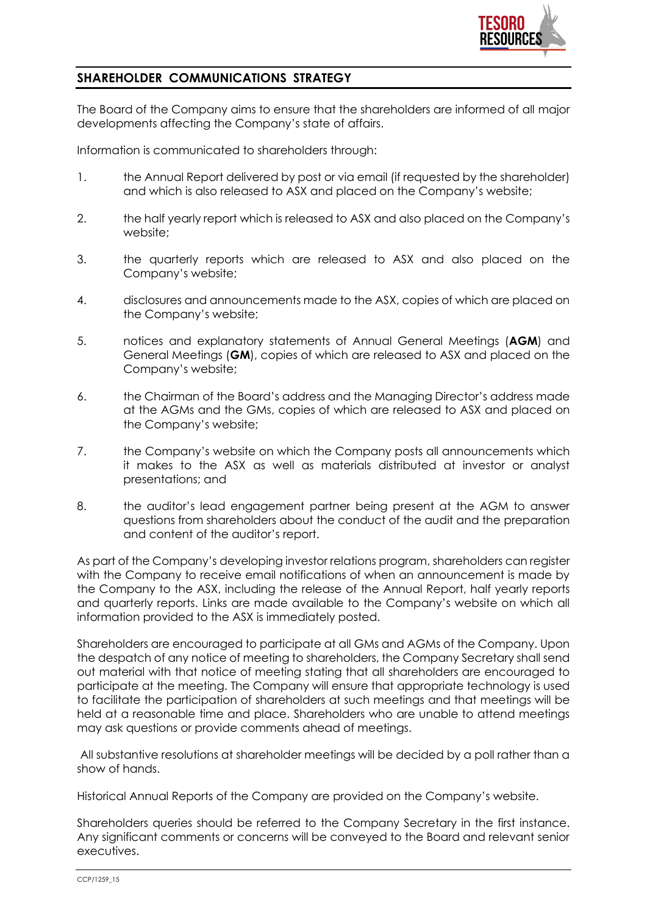

## **SHAREHOLDER COMMUNICATIONS STRATEGY**

The Board of the Company aims to ensure that the shareholders are informed of all major developments affecting the Company's state of affairs.

Information is communicated to shareholders through:

- 1. the Annual Report delivered by post or via email (if requested by the shareholder) and which is also released to ASX and placed on the Company's website;
- 2. the half yearly report which is released to ASX and also placed on the Company's website;
- 3. the quarterly reports which are released to ASX and also placed on the Company's website;
- 4. disclosures and announcements made to the ASX, copies of which are placed on the Company's website;
- 5. notices and explanatory statements of Annual General Meetings (**AGM**) and General Meetings (**GM**), copies of which are released to ASX and placed on the Company's website;
- 6. the Chairman of the Board's address and the Managing Director's address made at the AGMs and the GMs, copies of which are released to ASX and placed on the Company's website;
- 7. the Company's website on which the Company posts all announcements which it makes to the ASX as well as materials distributed at investor or analyst presentations; and
- 8. the auditor's lead engagement partner being present at the AGM to answer questions from shareholders about the conduct of the audit and the preparation and content of the auditor's report.

As part of the Company's developing investor relations program, shareholders can register with the Company to receive email notifications of when an announcement is made by the Company to the ASX, including the release of the Annual Report, half yearly reports and quarterly reports. Links are made available to the Company's website on which all information provided to the ASX is immediately posted.

Shareholders are encouraged to participate at all GMs and AGMs of the Company. Upon the despatch of any notice of meeting to shareholders, the Company Secretary shall send out material with that notice of meeting stating that all shareholders are encouraged to participate at the meeting. The Company will ensure that appropriate technology is used to facilitate the participation of shareholders at such meetings and that meetings will be held at a reasonable time and place. Shareholders who are unable to attend meetings may ask questions or provide comments ahead of meetings.

All substantive resolutions at shareholder meetings will be decided by a poll rather than a show of hands.

Historical Annual Reports of the Company are provided on the Company's website.

Shareholders queries should be referred to the Company Secretary in the first instance. Any significant comments or concerns will be conveyed to the Board and relevant senior executives.